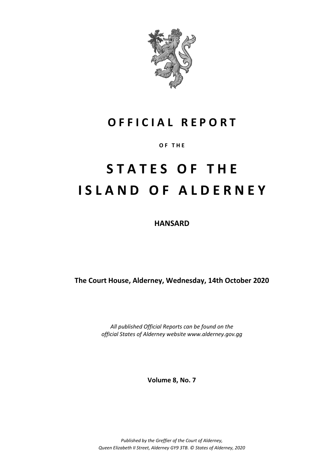

## **O F F I C I A L R E P O R T**

**O F T H E**

# **S T A T E S O F T H E I S L A N D O F A L D E R N E Y**

**HANSARD**

**The Court House, Alderney, Wednesday, 14th October 2020**

*All published Official Reports can be found on the official States of Alderney website www.alderney.gov.gg*

**Volume 8, No. 7**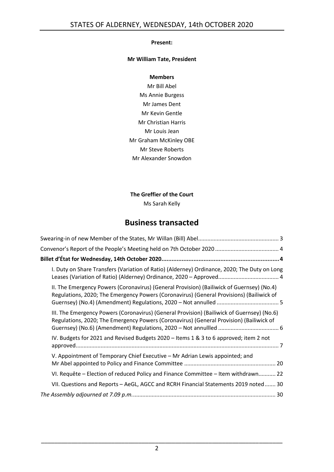#### **Present:**

#### **Mr William Tate, President**

#### **Members**

Mr Bill Abel Ms Annie Burgess Mr James Dent Mr Kevin Gentle Mr Christian Harris Mr Louis Jean Mr Graham McKinley OBE Mr Steve Roberts Mr Alexander Snowdon

#### **The Greffier of the Court**

Ms Sarah Kelly

### **Business transacted**

| I. Duty on Share Transfers (Variation of Ratio) (Alderney) Ordinance, 2020; The Duty on Long                                                                                          |
|---------------------------------------------------------------------------------------------------------------------------------------------------------------------------------------|
| II. The Emergency Powers (Coronavirus) (General Provision) (Bailiwick of Guernsey) (No.4)<br>Regulations, 2020; The Emergency Powers (Coronavirus) (General Provisions) (Bailiwick of |
| III. The Emergency Powers (Coronavirus) (General Provision) (Bailiwick of Guernsey) (No.6)<br>Regulations, 2020; The Emergency Powers (Coronavirus) (General Provision) (Bailiwick of |
| IV. Budgets for 2021 and Revised Budgets 2020 - Items 1 & 3 to 6 approved; item 2 not                                                                                                 |
| V. Appointment of Temporary Chief Executive - Mr Adrian Lewis appointed; and                                                                                                          |
| VI. Requête – Election of reduced Policy and Finance Committee – Item withdrawn 22                                                                                                    |
| VII. Questions and Reports - AeGL, AGCC and RCRH Financial Statements 2019 noted  30                                                                                                  |
|                                                                                                                                                                                       |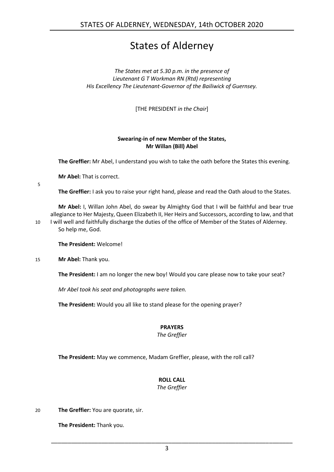### States of Alderney

*The States met at 5.30 p.m. in the presence of Lieutenant G T Workman RN (Rtd) representing His Excellency The Lieutenant-Governor of the Bailiwick of Guernsey.*

[THE PRESIDENT *in the Chair*]

#### **Swearing-in of new Member of the States, Mr Willan (Bill) Abel**

<span id="page-2-0"></span>**The Greffier:** Mr Abel, I understand you wish to take the oath before the States this evening.

**Mr Abel:** That is correct.

5

**The Greffier:** I ask you to raise your right hand, please and read the Oath aloud to the States.

**Mr Abel:** I, Willan John Abel, do swear by Almighty God that I will be faithful and bear true allegiance to Her Majesty, Queen Elizabeth II, Her Heirs and Successors, according to law, and that 10 I will well and faithfully discharge the duties of the office of Member of the States of Alderney. So help me, God.

**The President:** Welcome!

15 **Mr Abel:** Thank you.

**The President:** I am no longer the new boy! Would you care please now to take your seat?

*Mr Abel took his seat and photographs were taken.*

**The President:** Would you all like to stand please for the opening prayer?

#### **PRAYERS**

*The Greffier*

**The President:** May we commence, Madam Greffier, please, with the roll call?

#### **ROLL CALL**

*The Greffier*

20 **The Greffier:** You are quorate, sir.

**The President:** Thank you.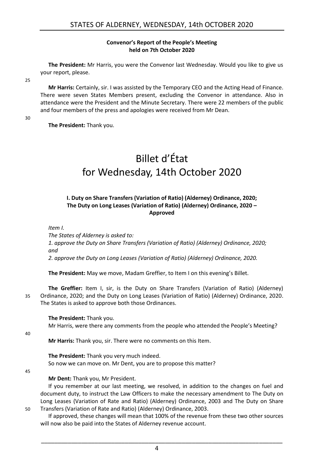#### **Convenor's Report of the People's Meeting held on 7th October 2020**

<span id="page-3-0"></span>**The President:** Mr Harris, you were the Convenor last Wednesday. Would you like to give us your report, please.

25

**Mr Harris:** Certainly, sir. I was assisted by the Temporary CEO and the Acting Head of Finance. There were seven States Members present, excluding the Convenor in attendance. Also in attendance were the President and the Minute Secretary. There were 22 members of the public and four members of the press and apologies were received from Mr Dean.

30

<span id="page-3-1"></span>**The President:** Thank you.

## Billet d'État for Wednesday, 14th October 2020

#### <span id="page-3-2"></span>**I. Duty on Share Transfers (Variation of Ratio) (Alderney) Ordinance, 2020; The Duty on Long Leases (Variation of Ratio) (Alderney) Ordinance, 2020 – Approved**

*Item I.*

*The States of Alderney is asked to: 1. approve the Duty on Share Transfers (Variation of Ratio) (Alderney) Ordinance, 2020; and 2. approve the Duty on Long Leases (Variation of Ratio) (Alderney) Ordinance, 2020.*

**The President:** May we move, Madam Greffier, to Item I on this evening's Billet.

**The Greffier:** Item I, sir, is the Duty on Share Transfers (Variation of Ratio) (Alderney) 35 Ordinance, 2020; and the Duty on Long Leases (Variation of Ratio) (Alderney) Ordinance, 2020. The States is asked to approve both those Ordinances.

#### **The President:** Thank you.

Mr Harris, were there any comments from the people who attended the People's Meeting?

40

**Mr Harris:** Thank you, sir. There were no comments on this Item.

**The President:** Thank you very much indeed. So now we can move on. Mr Dent, you are to propose this matter?

45

#### **Mr Dent:** Thank you, Mr President.

If you remember at our last meeting, we resolved, in addition to the changes on fuel and document duty, to instruct the Law Officers to make the necessary amendment to The Duty on Long Leases (Variation of Rate and Ratio) (Alderney) Ordinance, 2003 and The Duty on Share 50 Transfers (Variation of Rate and Ratio) (Alderney) Ordinance, 2003.

If approved, these changes will mean that 100% of the revenue from these two other sources will now also be paid into the States of Alderney revenue account.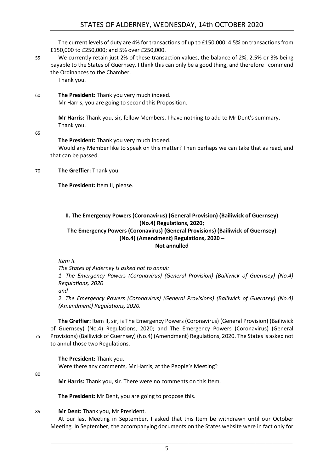The current levels of duty are 4% for transactions of up to £150,000; 4.5% on transactions from £150,000 to £250,000; and 5% over £250,000.

55 We currently retain just 2% of these transaction values, the balance of 2%, 2.5% or 3% being payable to the States of Guernsey. I think this can only be a good thing, and therefore I commend the Ordinances to the Chamber.

Thank you.

60 **The President:** Thank you very much indeed. Mr Harris, you are going to second this Proposition.

> **Mr Harris:** Thank you, sir, fellow Members. I have nothing to add to Mr Dent's summary. Thank you.

65

**The President:** Thank you very much indeed.

Would any Member like to speak on this matter? Then perhaps we can take that as read, and that can be passed.

70 **The Greffier:** Thank you.

**The President:** Item II, please.

<span id="page-4-0"></span>**II. The Emergency Powers (Coronavirus) (General Provision) (Bailiwick of Guernsey) (No.4) Regulations, 2020; The Emergency Powers (Coronavirus) (General Provisions) (Bailiwick of Guernsey) (No.4) (Amendment) Regulations, 2020 –**

#### **Not annulled**

*Item II.*

*The States of Alderney is asked not to annul:*

*1. The Emergency Powers (Coronavirus) (General Provision) (Bailiwick of Guernsey) (No.4) Regulations, 2020*

*and*

*2. The Emergency Powers (Coronavirus) (General Provisions) (Bailiwick of Guernsey) (No.4) (Amendment) Regulations, 2020.*

**The Greffier:** Item II, sir, is The Emergency Powers (Coronavirus) (General Provision) (Bailiwick of Guernsey) (No.4) Regulations, 2020; and The Emergency Powers (Coronavirus) (General 75 Provisions) (Bailiwick of Guernsey) (No.4) (Amendment) Regulations, 2020. The States is asked not to annul those two Regulations.

**The President:** Thank you.

Were there any comments, Mr Harris, at the People's Meeting?

80

**Mr Harris:** Thank you, sir. There were no comments on this Item.

**The President:** Mr Dent, you are going to propose this.

85 **Mr Dent:** Thank you, Mr President.

At our last Meeting in September, I asked that this Item be withdrawn until our October Meeting. In September, the accompanying documents on the States website were in fact only for

\_\_\_\_\_\_\_\_\_\_\_\_\_\_\_\_\_\_\_\_\_\_\_\_\_\_\_\_\_\_\_\_\_\_\_\_\_\_\_\_\_\_\_\_\_\_\_\_\_\_\_\_\_\_\_\_\_\_\_\_\_\_\_\_\_\_\_\_\_\_\_\_

5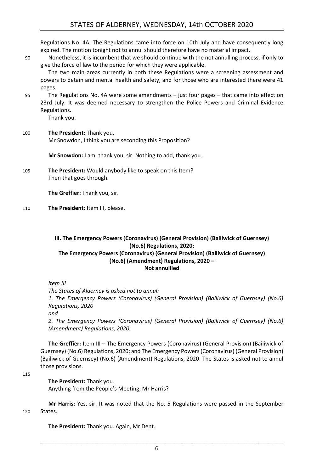Regulations No. 4A. The Regulations came into force on 10th July and have consequently long expired. The motion tonight not to annul should therefore have no material impact.

90 Nonetheless, it is incumbent that we should continue with the not annulling process, if only to give the force of law to the period for which they were applicable.

The two main areas currently in both these Regulations were a screening assessment and powers to detain and mental health and safety, and for those who are interested there were 41 pages.

95 The Regulations No. 4A were some amendments – just four pages – that came into effect on 23rd July. It was deemed necessary to strengthen the Police Powers and Criminal Evidence Regulations.

Thank you.

100 **The President:** Thank you. Mr Snowdon, I think you are seconding this Proposition?

**Mr Snowdon:** I am, thank you, sir. Nothing to add, thank you.

105 **The President:** Would anybody like to speak on this Item? Then that goes through.

**The Greffier:** Thank you, sir.

110 **The President:** Item III, please.

#### <span id="page-5-0"></span>**III. The Emergency Powers (Coronavirus) (General Provision) (Bailiwick of Guernsey) (No.6) Regulations, 2020; The Emergency Powers (Coronavirus) (General Provision) (Bailiwick of Guernsey) (No.6) (Amendment) Regulations, 2020 – Not annullled**

*Item III* 

*The States of Alderney is asked not to annul: 1. The Emergency Powers (Coronavirus) (General Provision) (Bailiwick of Guernsey) (No.6) Regulations, 2020 and*

*2. The Emergency Powers (Coronavirus) (General Provision) (Bailiwick of Guernsey) (No.6) (Amendment) Regulations, 2020.*

**The Greffier:** Item III – The Emergency Powers (Coronavirus) (General Provision) (Bailiwick of Guernsey) (No.6) Regulations, 2020; and The Emergency Powers (Coronavirus) (General Provision) (Bailiwick of Guernsey) (No.6) (Amendment) Regulations, 2020. The States is asked not to annul those provisions.

115

**The President:** Thank you.

Anything from the People's Meeting, Mr Harris?

**Mr Harris:** Yes, sir. It was noted that the No. 5 Regulations were passed in the September 120 States.

**The President:** Thank you. Again, Mr Dent.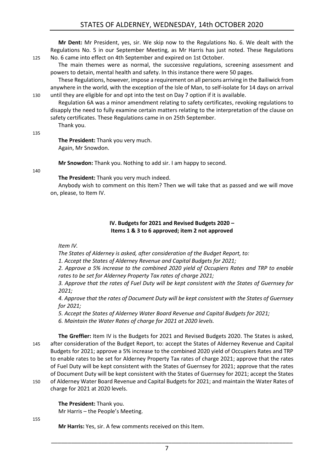#### STATES OF ALDERNEY, WEDNESDAY, 14th OCTOBER 2020

**Mr Dent:** Mr President, yes, sir. We skip now to the Regulations No. 6. We dealt with the Regulations No. 5 in our September Meeting, as Mr Harris has just noted. These Regulations 125 No. 6 came into effect on 4th September and expired on 1st October.

The main themes were as normal, the successive regulations, screening assessment and powers to detain, mental health and safety. In this instance there were 50 pages.

These Regulations, however, impose a requirement on all persons arriving in the Bailiwick from anywhere in the world, with the exception of the Isle of Man, to self-isolate for 14 days on arrival 130 until they are eligible for and opt into the test on Day 7 option if it is available.

Regulation 6A was a minor amendment relating to safety certificates, revoking regulations to disapply the need to fully examine certain matters relating to the interpretation of the clause on safety certificates. These Regulations came in on 25th September.

Thank you.

**The President:** Thank you very much. Again, Mr Snowdon.

**Mr Snowdon:** Thank you. Nothing to add sir. I am happy to second.

140

135

#### **The President:** Thank you very much indeed.

Anybody wish to comment on this Item? Then we will take that as passed and we will move on, please, to Item IV.

#### **IV. Budgets for 2021 and Revised Budgets 2020 – Items 1 & 3 to 6 approved; item 2 not approved**

<span id="page-6-0"></span>*Item IV.*

*The States of Alderney is asked, after consideration of the Budget Report, to:*

*1. Accept the States of Alderney Revenue and Capital Budgets for 2021;*

*2. Approve a 5% increase to the combined 2020 yield of Occupiers Rates and TRP to enable rates to be set for Alderney Property Tax rates of charge 2021;*

*3. Approve that the rates of Fuel Duty will be kept consistent with the States of Guernsey for 2021;*

*4. Approve that the rates of Document Duty will be kept consistent with the States of Guernsey for 2021;*

*5. Accept the States of Alderney Water Board Revenue and Capital Budgets for 2021; 6. Maintain the Water Rates of charge for 2021 at 2020 levels.*

**The Greffier:** Item IV is the Budgets for 2021 and Revised Budgets 2020. The States is asked, 145 after consideration of the Budget Report, to: accept the States of Alderney Revenue and Capital Budgets for 2021; approve a 5% increase to the combined 2020 yield of Occupiers Rates and TRP to enable rates to be set for Alderney Property Tax rates of charge 2021; approve that the rates of Fuel Duty will be kept consistent with the States of Guernsey for 2021; approve that the rates of Document Duty will be kept consistent with the States of Guernsey for 2021; accept the States 150 of Alderney Water Board Revenue and Capital Budgets for 2021; and maintain the Water Rates of

charge for 2021 at 2020 levels.

**The President:** Thank you. Mr Harris – the People's Meeting.

155

**Mr Harris:** Yes, sir. A few comments received on this Item.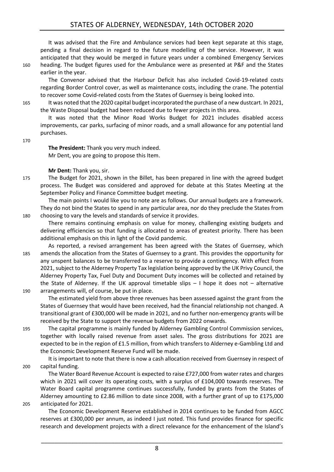It was advised that the Fire and Ambulance services had been kept separate at this stage, pending a final decision in regard to the future modelling of the service. However, it was anticipated that they would be merged in future years under a combined Emergency Services 160 heading. The budget figures used for the Ambulance were as presented at P&F and the States earlier in the year.

The Convenor advised that the Harbour Deficit has also included Covid-19-related costs regarding Border Control cover, as well as maintenance costs, including the crane. The potential to recover some Covid-related costs from the States of Guernsey is being looked into.

165 It was noted that the 2020 capital budget incorporated the purchase of a new dustcart. In 2021, the Waste Disposal budget had been reduced due to fewer projects in this area.

It was noted that the Minor Road Works Budget for 2021 includes disabled access improvements, car parks, surfacing of minor roads, and a small allowance for any potential land purchases.

170

**The President:** Thank you very much indeed. Mr Dent, you are going to propose this Item.

**Mr Dent:** Thank you, sir.

175 The Budget for 2021, shown in the Billet, has been prepared in line with the agreed budget process. The Budget was considered and approved for debate at this States Meeting at the September Policy and Finance Committee budget meeting.

The main points I would like you to note are as follows. Our annual budgets are a framework. They do not bind the States to spend in any particular area, nor do they preclude the States from 180 choosing to vary the levels and standards of service it provides.

- There remains continuing emphasis on value for money, challenging existing budgets and delivering efficiencies so that funding is allocated to areas of greatest priority. There has been additional emphasis on this in light of the Covid pandemic.
- As reported, a revised arrangement has been agreed with the States of Guernsey, which 185 amends the allocation from the States of Guernsey to a grant. This provides the opportunity for any unspent balances to be transferred to a reserve to provide a contingency. With effect from 2021, subject to the Alderney Property Tax legislation being approved by the UK Privy Council, the Alderney Property Tax, Fuel Duty and Document Duty incomes will be collected and retained by the State of Alderney. If the UK approval timetable slips  $-1$  hope it does not  $-$  alternative 190 arrangements will, of course, be put in place.

The estimated yield from above three revenues has been assessed against the grant from the States of Guernsey that would have been received, had the financial relationship not changed. A transitional grant of £300,000 will be made in 2021, and no further non-emergency grants will be received by the State to support the revenue budgets from 2022 onwards.

195 The capital programme is mainly funded by Alderney Gambling Control Commission services, together with locally raised revenue from asset sales. The gross distributions for 2021 are expected to be in the region of £1.5 million, from which transfers to Alderney e-Gambling Ltd and the Economic Development Reserve Fund will be made.

It is important to note that there is now a cash allocation received from Guernsey in respect of 200 capital funding.

The Water Board Revenue Account is expected to raise £727,000 from water rates and charges which in 2021 will cover its operating costs, with a surplus of £104,000 towards reserves. The Water Board capital programme continues successfully, funded by grants from the States of Alderney amounting to £2.86 million to date since 2008, with a further grant of up to £175,000 205 anticipated for 2021.

The Economic Development Reserve established in 2014 continues to be funded from AGCC reserves at £300,000 per annum, as indeed I just noted. This fund provides finance for specific research and development projects with a direct relevance for the enhancement of the Island's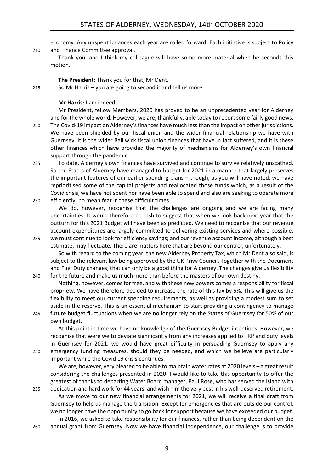economy. Any unspent balances each year are rolled forward. Each initiative is subject to Policy 210 and Finance Committee approval.

Thank you, and I think my colleague will have some more material when he seconds this motion.

#### **The President:** Thank you for that, Mr Dent.

215 So Mr Harris – you are going to second it and tell us more.

#### **Mr Harris:** I am indeed.

Mr President, fellow Members, 2020 has proved to be an unprecedented year for Alderney and for the whole world. However, we are, thankfully, able today to report some fairly good news. 220 The Covid-19 impact on Alderney's finances have much less than the impact on other jurisdictions. We have been shielded by our fiscal union and the wider financial relationship we have with Guernsey. It is the wider Bailiwick fiscal union finances that have in fact suffered, and it is these other finances which have provided the majority of mechanisms for Alderney's own financial support through the pandemic.

225 To date, Alderney's own finances have survived and continue to survive relatively unscathed. So the States of Alderney have managed to budget for 2021 in a manner that largely preserves the important features of our earlier spending plans – though, as you will have noted, we have reprioritised some of the capital projects and reallocated those funds which, as a result of the Covid crisis, we have not spent nor have been able to spend and also are seeking to operate more 230 efficiently; no mean feat in these difficult times.

We do, however, recognise that the challenges are ongoing and we are facing many uncertainties. It would therefore be rash to suggest that when we look back next year that the outturn for this 2021 Budget will have been as predicted. We need to recognise that our revenue account expenditures are largely committed to delivering existing services and where possible, 235 we must continue to look for efficiency savings; and our revenue account income, although a best

- estimate, may fluctuate. There are matters here that are beyond our control, unfortunately. So with regard to the coming year, the new Alderney Property Tax, which Mr Dent also said, is subject to the relevant law being approved by the UK Privy Council. Together with the Document and Fuel Duty changes, that can only be a good thing for Alderney. The changes give us flexibility
- 240 for the future and make us much more than before the masters of our own destiny. Nothing, however, comes for free, and with these new powers comes a responsibility for fiscal propriety. We have therefore decided to increase the rate of this tax by 5%. This will give us the flexibility to meet our current spending requirements, as well as providing a modest sum to set aside in the reserve. This is an essential mechanism to start providing a contingency to manage 245 future budget fluctuations when we are no longer rely on the States of Guernsey for 50% of our

own budget.

At this point in time we have no knowledge of the Guernsey Budget intentions. However, we recognise that were we to deviate significantly from any increases applied to TRP and duty levels in Guernsey for 2021, we would have great difficulty in persuading Guernsey to apply any 250 emergency funding measures, should they be needed, and which we believe are particularly important while the Covid 19 crisis continues.

We are, however, very pleased to be able to maintain water rates at 2020 levels – a great result considering the challenges presented in 2020. I would like to take this opportunity to offer the greatest of thanks to departing Water Board manager, Paul Rose, who has served the Island with 255 dedication and hard work for 44 years, and wish him the very best in his well-deserved retirement.

As we move to our new financial arrangements for 2021, we will receive a final draft from Guernsey to help us manage the transition. Except for emergencies that are outside our control, we no longer have the opportunity to go back for support because we have exceeded our budget.

In 2016, we asked to take responsibility for our finances, rather than being dependent on the 260 annual grant from Guernsey. Now we have financial independence, our challenge is to provide

9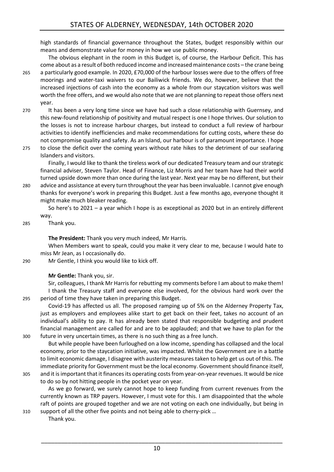high standards of financial governance throughout the States, budget responsibly within our means and demonstrate value for money in how we use public money.

The obvious elephant in the room in this Budget is, of course, the Harbour Deficit. This has come about as a result of both reduced income and increased maintenance costs – the crane being 265 a particularly good example. In 2020, £70,000 of the harbour losses were due to the offers of free moorings and water-taxi waivers to our Bailiwick friends. We do, however, believe that the

- increased injections of cash into the economy as a whole from our staycation visitors was well worth the free offers, and we would also note that we are not planning to repeat those offers next year.
- 270 It has been a very long time since we have had such a close relationship with Guernsey, and this new-found relationship of positivity and mutual respect is one I hope thrives. Our solution to the losses is not to increase harbour charges, but instead to conduct a full review of harbour activities to identify inefficiencies and make recommendations for cutting costs, where these do not compromise quality and safety. As an Island, our harbour is of paramount importance. I hope
- 275 to close the deficit over the coming years without rate hikes to the detriment of our seafaring Islanders and visitors.

Finally, I would like to thank the tireless work of our dedicated Treasury team and our strategic financial adviser, Steven Taylor. Head of Finance, Liz Morris and her team have had their world turned upside down more than once during the last year. Next year may be no different, but their

280 advice and assistance at every turn throughout the year has been invaluable. I cannot give enough thanks for everyone's work in preparing this Budget. Just a few months ago, everyone thought it might make much bleaker reading.

So here's to 2021 – a year which I hope is as exceptional as 2020 but in an entirely different way.

#### 285 Thank you.

**The President:** Thank you very much indeed, Mr Harris.

When Members want to speak, could you make it very clear to me, because I would hate to miss Mr Jean, as I occasionally do.

#### 290 Mr Gentle, I think you would like to kick off.

**Mr Gentle:** Thank you, sir.

Sir, colleagues, I thank Mr Harris for rebutting my comments before I am about to make them! I thank the Treasury staff and everyone else involved, for the obvious hard work over the 295 period of time they have taken in preparing this Budget.

Covid-19 has affected us all. The proposed ramping up of 5% on the Alderney Property Tax, just as employers and employees alike start to get back on their feet, takes no account of an individual's ability to pay. It has already been stated that responsible budgeting and prudent financial management are called for and are to be applauded; and that we have to plan for the 300 future in very uncertain times, as there is no such thing as a free lunch.

But while people have been furloughed on a low income, spending has collapsed and the local economy, prior to the staycation initiative, was impacted. Whilst the Government are in a battle to limit economic damage, I disagree with austerity measures taken to help get us out of this. The immediate priority for Government must be the local economy. Government should finance itself, 305 and it is important that it finances its operating costs from year-on-year revenues. It would be nice

to do so by not hitting people in the pocket year on year.

As we go forward, we surely cannot hope to keep funding from current revenues from the currently known as TRP payers. However, I must vote for this. I am disappointed that the whole raft of points are grouped together and we are not voting on each one individually, but being in 310 support of all the other five points and not being able to cherry-pick …

Thank you.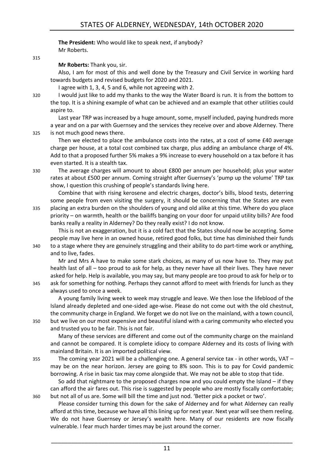**The President:** Who would like to speak next, if anybody? Mr Roberts.

315

**Mr Roberts:** Thank you, sir.

Also, I am for most of this and well done by the Treasury and Civil Service in working hard towards budgets and revised budgets for 2020 and 2021.

I agree with 1, 3, 4, 5 and 6, while not agreeing with 2.

320 I would just like to add my thanks to the way the Water Board is run. It is from the bottom to the top. It is a shining example of what can be achieved and an example that other utilities could aspire to.

Last year TRP was increased by a huge amount, some, myself included, paying hundreds more a year and on a par with Guernsey and the services they receive over and above Alderney. There 325 is not much good news there.

Then we elected to place the ambulance costs into the rates, at a cost of some £40 average charge per house, at a total cost combined tax charge, plus adding an ambulance charge of 4%. Add to that a proposed further 5% makes a 9% increase to every household on a tax before it has even started. It is a stealth tax.

330 The average charges will amount to about £800 per annum per household; plus your water rates at about £500 per annum. Coming straight after Guernsey's 'pump up the volume' TRP tax show, I question this crushing of people's standards living here.

Combine that with rising kerosene and electric charges, doctor's bills, blood tests, deterring some people from even visiting the surgery, it should be concerning that the States are even 335 placing an extra burden on the shoulders of young and old alike at this time. Where do you place priority – on warmth, health or the bailiffs banging on your door for unpaid utility bills? Are food banks really a reality in Alderney? Do they really exist? I do not know.

This is not an exaggeration, but it is a cold fact that the States should now be accepting. Some people may live here in an owned house, retired good folks, but time has diminished their funds 340 to a stage where they are genuinely struggling and their ability to do part-time work or anything, and to live, fades.

Mr and Mrs A have to make some stark choices, as many of us now have to. They may put health last of all – too proud to ask for help, as they never have all their lives. They have never asked for help. Help is available, you may say, but many people are too proud to ask for help or to 345 ask for something for nothing. Perhaps they cannot afford to meet with friends for lunch as they

always used to once a week.

A young family living week to week may struggle and leave. We then lose the lifeblood of the Island already depleted and one-sided age-wise. Please do not come out with the old chestnut, the community charge in England. We forget we do not live on the mainland, with a town council, 350 but we live on our most expensive and beautiful island with a caring community who elected you

and trusted you to be fair. This is not fair.

Many of these services are different and come out of the community charge on the mainland and cannot be compared. It is complete idiocy to compare Alderney and its costs of living with mainland Britain. It is an imported political view.

355 The coming year 2021 will be a challenging one. A general service tax - in other words, VAT – may be on the near horizon. Jersey are going to 8% soon. This is to pay for Covid pandemic borrowing. A rise in basic tax may come alongside that. We may not be able to stop that tide.

So add that nightmare to the proposed charges now and you could empty the Island  $-$  if they can afford the air fares out. This rise is suggested by people who are mostly fiscally comfortable; 360 but not all of us are. Some will bill the time and just nod. 'Better pick a pocket or two'.

Please consider turning this down for the sake of Alderney and for what Alderney can really afford at this time, because we have all this lining up for next year. Next year will see them reeling. We do not have Guernsey or Jersey's wealth here. Many of our residents are now fiscally vulnerable. I fear much harder times may be just around the corner.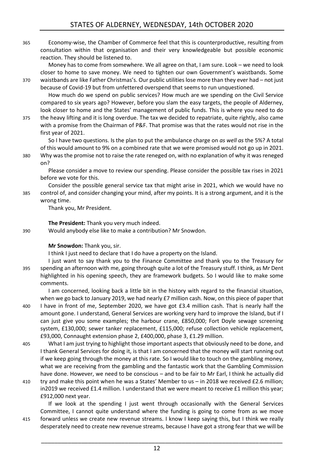365 Economy-wise, the Chamber of Commerce feel that this is counterproductive, resulting from consultation within that organisation and their very knowledgeable but possible economic reaction. They should be listened to.

Money has to come from somewhere. We all agree on that, I am sure. Look – we need to look closer to home to save money. We need to tighten our own Government's waistbands. Some 370 waistbands are like Father Christmas's. Our public utilities lose more than they ever had – not just

because of Covid-19 but from unfettered overspend that seems to run unquestioned. How much do we spend on public services? How much are we spending on the Civil Service compared to six years ago? However, before you slam the easy targets, the people of Alderney, look closer to home and the States' management of public funds. This is where you need to do

375 the heavy lifting and it is long overdue. The tax we decided to repatriate, quite rightly, also came with a promise from the Chairman of P&F. That promise was that the rates would not rise in the first year of 2021.

So I have two questions. Is the plan to put the ambulance charge on *as well as* the 5%? A total of this would amount to 9% on a combined rate that we were promised would not go up in 2021. 380 Why was the promise not to raise the rate reneged on, with no explanation of why it was reneged

on?

Please consider a move to review our spending. Please consider the possible tax rises in 2021 before we vote for this.

Consider the possible general service tax that might arise in 2021, which we would have no 385 control of, and consider changing your mind, after my points. It is a strong argument, and it is the wrong time.

Thank you, Mr President.

**The President:** Thank you very much indeed. 390 Would anybody else like to make a contribution? Mr Snowdon.

#### **Mr Snowdon:** Thank you, sir.

I think I just need to declare that I do have a property on the Island.

I just want to say thank you to the Finance Committee and thank you to the Treasury for 395 spending an afternoon with me, going through quite a lot of the Treasury stuff. I think, as Mr Dent highlighted in his opening speech, they are framework budgets. So I would like to make some comments.

I am concerned, looking back a little bit in the history with regard to the financial situation, when we go back to January 2019, we had nearly £7 million cash. Now, on this piece of paper that

400 I have in front of me, September 2020, we have got £3.4 million cash. That is nearly half the amount gone. I understand, General Services are working very hard to improve the Island, but if I can just give you some examples; the harbour crane, £850,000; Fort Doyle sewage screening system, £130,000; sewer tanker replacement, £115,000; refuse collection vehicle replacement, £93,000, Connaught extension phase 2, £400,000, phase 3, £1.29 million.

405 What I am just trying to highlight those important aspects that obviously need to be done, and I thank General Services for doing it, is that I am concerned that the money will start running out if we keep going through the money at this rate. So I would like to touch on the gambling money, what we are receiving from the gambling and the fantastic work that the Gambling Commission have done. However, we need to be conscious – and to be fair to Mr Earl, I think he actually did

410 try and make this point when he was a States' Member to us – in 2018 we received £2.6 million; in2019 we received £1.4 million. I understand that we were meant to receive £1 million this year; £912,000 next year.

If we look at the spending I just went through occasionally with the General Services Committee, I cannot quite understand where the funding is going to come from as we move

415 forward unless we create new revenue streams. I know I keep saying this, but I think we really desperately need to create new revenue streams, because I have got a strong fear that we will be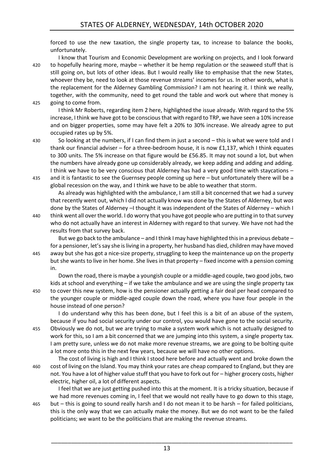forced to use the new taxation, the single property tax, to increase to balance the books, unfortunately.

I know that Tourism and Economic Development are working on projects, and I look forward 420 to hopefully hearing more, maybe – whether it be hemp regulation or the seaweed stuff that is still going on, but lots of other ideas. But I would really like to emphasise that the new States, whoever they be, need to look at those revenue streams' incomes for us. In other words, what is the replacement for the Alderney Gambling Commission? I am not hearing it. I think we really, together, with the community, need to get round the table and work out where that money is 425 going to come from.

I think Mr Roberts, regarding item 2 here, highlighted the issue already. With regard to the 5% increase, I think we have got to be conscious that with regard to TRP, we have seen a 10% increase and on bigger properties, some may have felt a 20% to 30% increase. We already agree to put occupied rates up by 5%.

430 So looking at the numbers, if I can find them in just a second – this is what we were told and I

thank our financial adviser – for a three-bedroom house, it is now £1,137, which I think equates to 300 units. The 5% increase on that figure would be £56.85. It may not sound a lot, but when the numbers have already gone up considerably already, we keep adding and adding and adding. I think we have to be very conscious that Alderney has had a very good time with staycations – 435 and it is fantastic to see the Guernsey people coming up here – but unfortunately there will be a

global recession on the way, and I think we have to be able to weather that storm. As already was highlighted with the ambulance, I am still a bit concerned that we had a survey that recently went out, which I did not actually know was done by the States of Alderney, but *was* done by the States of Alderney –I thought it was independent of the States of Alderney – which I

440 think went all over the world. I do worry that you have got people who are putting in to that survey who do not actually have an interest in Alderney with regard to that survey. We have not had the results from that survey back.

But we go back to the ambulance – and I think I may have highlighted this in a previous debate – for a pensioner, let's say she is living in a property, her husband has died, children may have moved 445 away but she has got a nice-size property, struggling to keep the maintenance up on the property but she wants to live in her home. She lives in that property – fixed income with a pension coming in.

Down the road, there is maybe a youngish couple or a middle-aged couple, two good jobs, two kids at school and everything – if we take the ambulance and we are using the single property tax 450 to cover this new system, how is the pensioner actually getting a fair deal per head compared to the younger couple or middle-aged couple down the road, where you have four people in the house instead of one person?

I do understand why this has been done, but I feel this is a bit of an abuse of the system, because if you had social security under our control, you would have gone to the social security. 455 Obviously we do not, but we are trying to make a system work which is not actually designed to work for this, so I am a bit concerned that we are jumping into this system, a single property tax. I am pretty sure, unless we do not make more revenue streams, we are going to be bolting quite a lot more onto this in the next few years, because we will have no other options.

The cost of living is high and I think I stood here before and actually went and broke down the 460 cost of living on the Island. You may think your rates are cheap compared to England, but they are not. You have a lot of higher value stuff that you have to fork out for – higher grocery costs, higher electric, higher oil, a lot of different aspects.

I feel that we are just getting pushed into this at the moment. It is a tricky situation, because if we had more revenues coming in, I feel that we would not really have to go down to this stage, 465 but – this is going to sound really harsh and I do not mean it to be harsh – for failed politicians,

this is the only way that we can actually make the money. But we do not want to be the failed politicians; we want to be the politicians that are making the revenue streams.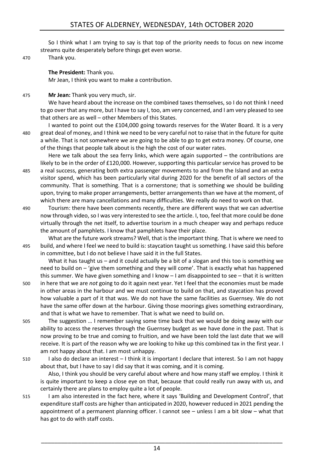So I think what I am trying to say is that top of the priority needs to focus on new income streams quite desperately before things get even worse.

#### 470 Thank you.

**The President:** Thank you.

Mr Jean, I think you want to make a contribution.

475 **Mr Jean:** Thank you very much, sir.

We have heard about the increase on the combined taxes themselves, so I do not think I need to go over that any more, but I have to say I, too, am very concerned, and I am very pleased to see that others are as well – other Members of this States.

I wanted to point out the £104,000 going towards reserves for the Water Board. It is a very 480 great deal of money, and I think we need to be very careful not to raise that in the future for quite a while. That is not somewhere we are going to be able to go to get extra money. Of course, one of the things that people talk about is the high the cost of our water rates.

Here we talk about the sea ferry links, which were again supported – the contributions are likely to be in the order of £120,000. However, supporting this particular service has proved to be 485 a real success, generating both extra passenger movements to and from the Island and an extra visitor spend, which has been particularly vital during 2020 for the benefit of all sectors of the community. That is something. That is a cornerstone; that is something we should be building upon, trying to make proper arrangements, better arrangements than we have at the moment, of which there are many cancellations and many difficulties. We really do need to work on that.

490 Tourism: there have been comments recently, there are different ways that we can advertise now through video, so I was very interested to see the article. I, too, feel that more could be done virtually through the net itself, to advertise tourism in a much cheaper way and perhaps reduce the amount of pamphlets. I know that pamphlets have their place.

What are the future work streams? Well, that is the important thing. That is where we need to 495 build, and where I feel we need to build is: staycation taught us something. I have said this before in committee, but I do not believe I have said it in the full States.

What it has taught us – and it could actually be a bit of a slogan and this too is something we need to build on – 'give them something and they will come'. That is exactly what has happened this summer. We have given something and I know – I am disappointed to see – that it is written

- 500 in here that we are *not* going to do it again next year. Yet I feel that the economies must be made in other areas in the harbour and we must continue to build on that, and staycation has proved how valuable a part of it that was. We do not have the same facilities as Guernsey. We do not have the same offer down at the harbour. Giving those moorings gives something extraordinary, and that is what we have to remember. That is what we need to build on.
- 505 The suggestion … I remember saying some time back that we would be doing away with our ability to access the reserves through the Guernsey budget as we have done in the past. That is now proving to be true and coming to fruition, and we have been told the last date that we will receive. It is part of the reason why we are looking to hike up this combined tax in the first year. I am not happy about that. I am most unhappy.
- 510 I also do declare an interest I think it is important I declare that interest. So I am not happy about that, but I have to say I did say that it was coming, and it is coming.

Also, I think you should be very careful about where and how many staff we employ. I think it is quite important to keep a close eye on that, because that could really run away with us, and certainly there are plans to employ quite a lot of people.

515 I am also interested in the fact here, where it says 'Building and Development Control', that expenditure staff costs are higher than anticipated in 2020, however reduced in 2021 pending the appointment of a permanent planning officer. I cannot see – unless I am a bit slow – what that has got to do with staff costs.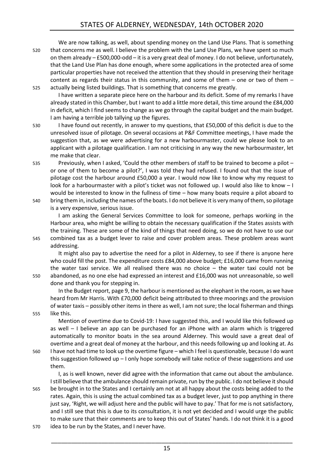We are now talking, as well, about spending money on the Land Use Plans. That is something 520 that concerns me as well. I believe the problem with the Land Use Plans, we have spent so much on them already – £500,000-odd – it is a very great deal of money. I do not believe, unfortunately, that the Land Use Plan has done enough, where some applications in the protected area of some particular properties have not received the attention that they should in preserving their heritage content as regards their status in this community, and some of them – one or two of them – 525 actually being listed buildings. That is something that concerns me greatly.

I have written a separate piece here on the harbour and its deficit. Some of my remarks I have already stated in this Chamber, but I want to add a little more detail, this time around the £84,000 in deficit, which I find seems to change as we go through the capital budget and the main budget. I am having a terrible job tallying up the figures.

530 I have found out recently, in answer to my questions, that £50,000 of this deficit is due to the unresolved issue of pilotage. On several occasions at P&F Committee meetings, I have made the suggestion that, as we were advertising for a new harbourmaster, could we please look to an applicant with a pilotage qualification. I am not criticising in any way the new harbourmaster, let me make that clear.

535 Previously, when I asked, 'Could the other members of staff to be trained to become a pilot – or one of them to become a pilot?', I was told they had refused. I found out that the issue of pilotage cost the harbour around £50,000 a year. I would now like to know why my request to look for a harbourmaster with a pilot's ticket was not followed up. I would also like to know - I would be interested to know in the fullness of time – how many boats require a pilot aboard to 540 bring them in, including the names ofthe boats. I do not believe it is very many of them, so pilotage

is a very expensive, serious issue.

I am asking the General Services Committee to look for someone, perhaps working in the Harbour area, who might be willing to obtain the necessary qualification if the States assists with the training. These are some of the kind of things that need doing, so we do not have to use our 545 combined tax as a budget lever to raise and cover problem areas. These problem areas want addressing.

It might also pay to advertise the need for a pilot in Alderney, to see if there is anyone here who could fill the post. The expenditure costs £84,000 above budget; £16,000 came from running the water taxi service. We all realised there was no choice – the water taxi could not be 550 abandoned, as no one else had expressed an interest and £16,000 was not unreasonable, so well done and thank you for stepping in.

In the Budget report, page 9, the harbour is mentioned as the elephant in the room, as we have heard from Mr Harris. With £70,000 deficit being attributed to three moorings and the provision of water taxis – possibly other items in there as well, I am not sure; the local fisherman and things 555 like this.

Mention of overtime due to Covid-19: I have suggested this, and I would like this followed up as well – I believe an app can be purchased for an iPhone with an alarm which is triggered automatically to monitor boats in the sea around Alderney. This would save a great deal of overtime and a great deal of money at the harbour, and this needs following up and looking at. As

560 I have not had time to look up the overtime figure – which I feel is questionable, because I do want this suggestion followed up  $-1$  only hope somebody will take notice of these suggestions and use them.

I, as is well known, never did agree with the information that came out about the ambulance. Istill believe that the ambulance should remain private, run by the public. I do not believe it should 565 be brought in to the States and I certainly am not at all happy about the costs being added to the rates. Again, this is using the actual combined tax as a budget lever, just to pop anything in there just say, 'Right, we will adjust here and the public will have to pay.' That for me is not satisfactory,

and I still see that this is due to its consultation, it is not yet decided and I would urge the public to make sure that their comments are to keep this out of States' hands. I do not think it is a good 570 idea to be run by the States, and I never have.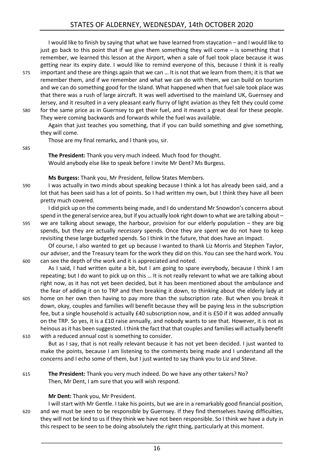I would like to finish by saying that what we have learned from staycation – and I would like to just go back to this point that if we give them something they will come – is something that I remember, we learned this lesson at the Airport, when a sale of fuel took place because it was getting near its expiry date. I would like to remind everyone of this, because I think it is really

575 important and these are things again that we can … It is not that we learn from them; it is that we remember them, and if we remember and what we can do with them, we can build on tourism and we can do something good for the Island. What happened when that fuel sale took place was that there was a rush of large aircraft. It was well advertised to the mainland UK, Guernsey and Jersey, and it resulted in a very pleasant early flurry of light aviation as they felt they could come 580 for the same price as in Guernsey to get their fuel, and it meant a great deal for these people.

They were coming backwards and forwards while the fuel was available.

Again that just teaches you something, that if you can build something and give something, they will come.

Those are my final remarks, and I thank you, sir.

585

**The President:** Thank you very much indeed. Much food for thought. Would anybody else like to speak before I invite Mr Dent? Ms Burgess.

**Ms Burgess:** Thank you, Mr President, fellow States Members.

590 I was actually in two minds about speaking because I think a lot has already been said, and a lot that has been said has a lot of points. So I had written my own, but I think they have all been pretty much covered.

I did pick up on the comments being made, and I do understand Mr Snowdon's concerns about spend in the general service area, but if you actually look right down to what we are talking about – 595 we are talking about sewage, the harbour, provision for our elderly population – they are big spends, but they are actually *necessary* spends. Once they are spent we do not have to keep revisiting these large budgeted spends. So I think in the future, that does have an impact.

Of course, I also wanted to get up because I wanted to thank Liz Morris and Stephen Taylor, our adviser, and the Treasury team for the work they did on this. You can see the hard work. You 600 can see the depth of the work and it is appreciated and noted.

As I said, I had written quite a bit, but I am going to spare everybody, because I think I am repeating; but I do want to pick up on this … It is not really relevant to what we are talking about right now, as it has not yet been decided, but it has been mentioned about the ambulance and the fear of adding it on to TRP and then breaking it down, to thinking about the elderly lady at

605 home on her own then having to pay more than the subscription rate. But when you break it down, okay, couples and families will benefit because they will be paying less in the subscription fee, but a single household is actually £40 subscription now, and it is £50 if it was added annually on the TRP. So yes, it is a £10 raise annually, and nobody wants to see that. However, it is not as heinous asit has been suggested. I think the fact that that couples and families will actually benefit 610 with a reduced annual cost is something to consider.

But as I say, that is not really relevant because it has not yet been decided. I just wanted to make the points, because I am listening to the comments being made and I understand all the concerns and I echo some of them, but I just wanted to say thank you to Liz and Steve.

615 **The President:** Thank you very much indeed. Do we have any other takers? No? Then, Mr Dent, I am sure that you will wish respond.

#### **Mr Dent:** Thank you, Mr President.

I will start with Mr Gentle. I take his points, but we are in a remarkably good financial position, 620 and we must be seen to be responsible by Guernsey. If they find themselves having difficulties, they will not be kind to us if they think we have not been responsible. So I think we have a duty in this respect to be seen to be doing absolutely the right thing, particularly at this moment.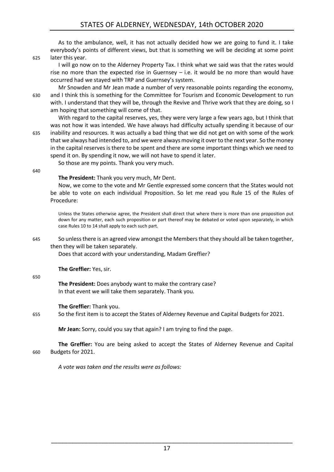As to the ambulance, well, it has not actually decided how we are going to fund it. I take everybody's points of different views, but that is something we will be deciding at some point 625 later this year.

I will go now on to the Alderney Property Tax. I think what we said was that the rates would rise no more than the expected rise in Guernsey – i.e. it would be no more than would have occurred had we stayed with TRP and Guernsey's system.

Mr Snowden and Mr Jean made a number of very reasonable points regarding the economy, 630 and I think this is something for the Committee for Tourism and Economic Development to run with. I understand that they will be, through the Revive and Thrive work that they are doing, so I am hoping that something will come of that.

With regard to the capital reserves, yes, they were very large a few years ago, but I think that was not how it was intended. We have always had difficulty actually spending it because of our 635 inability and resources. It was actually a bad thing that we did not get on with some of the work that we always had intended to, and we were always moving it over to the next year. So the money in the capital reserves is there to be spent and there are some important things which we need to spend it on. By spending it now, we will not have to spend it later.

So those are my points. Thank you very much.

640

#### **The President:** Thank you very much, Mr Dent.

Now, we come to the vote and Mr Gentle expressed some concern that the States would not be able to vote on each individual Proposition. So let me read you Rule 15 of the Rules of Procedure:

Unless the States otherwise agree, the President shall direct that where there is more than one proposition put down for any matter, each such proposition or part thereof may be debated or voted upon separately, in which case Rules 10 to 14 shall apply to each such part.

#### 645 So unless there is an agreed view amongst the Members that they should all be taken together, then they will be taken separately.

Does that accord with your understanding, Madam Greffier?

**The Greffier:** Yes, sir.

#### 650

**The President:** Does anybody want to make the contrary case? In that event we will take them separately. Thank you.

#### **The Greffier:** Thank you.

655 So the first item is to accept the States of Alderney Revenue and Capital Budgets for 2021.

**Mr Jean:** Sorry, could you say that again? I am trying to find the page.

**The Greffier:** You are being asked to accept the States of Alderney Revenue and Capital 660 Budgets for 2021.

*A vote was taken and the results were as follows:*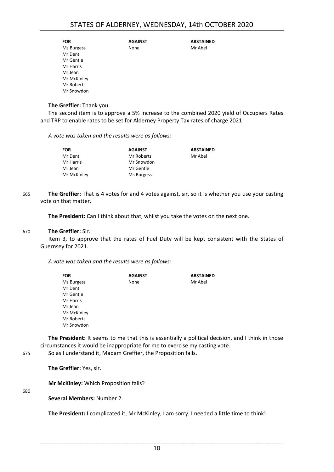| <b>FOR</b>  | <b>AGAINST</b> | <b>ABSTAINED</b> |
|-------------|----------------|------------------|
| Ms Burgess  | None           | Mr Abel          |
| Mr Dent     |                |                  |
| Mr Gentle   |                |                  |
| Mr Harris   |                |                  |
| Mr Jean     |                |                  |
| Mr McKinley |                |                  |
| Mr Roberts  |                |                  |
| Mr Snowdon  |                |                  |
|             |                |                  |

#### **The Greffier:** Thank you.

The second item is to approve a 5% increase to the combined 2020 yield of Occupiers Rates and TRP to enable rates to be set for Alderney Property Tax rates of charge 2021

*A vote was taken and the results were as follows:*

| <b>FOR</b>  | <b>AGAINST</b> | <b>ABSTAINED</b> |
|-------------|----------------|------------------|
| Mr Dent     | Mr Roberts     | Mr Abel          |
| Mr Harris   | Mr Snowdon     |                  |
| Mr Jean     | Mr Gentle      |                  |
| Mr McKinley | Ms Burgess     |                  |

665 **The Greffier:** That is 4 votes for and 4 votes against, sir, so it is whether you use your casting vote on that matter.

**The President:** Can I think about that, whilst you take the votes on the next one.

#### 670 **The Greffier:** Sir.

Item 3, to approve that the rates of Fuel Duty will be kept consistent with the States of Guernsey for 2021.

*A vote was taken and the results were as follows:*

| <b>FOR</b>  | <b>AGAINST</b> | <b>ABSTAINED</b> |
|-------------|----------------|------------------|
| Ms Burgess  | None           | Mr Abel          |
| Mr Dent     |                |                  |
| Mr Gentle   |                |                  |
| Mr Harris   |                |                  |
| Mr Jean     |                |                  |
| Mr McKinley |                |                  |
| Mr Roberts  |                |                  |
| Mr Snowdon  |                |                  |

**The President:** It seems to me that this is essentially a political decision, and I think in those circumstances it would be inappropriate for me to exercise my casting vote.

675 So as I understand it, Madam Greffier, the Proposition fails.

**The Greffier:** Yes, sir.

**Mr McKinley:** Which Proposition fails?

680

**Several Members:** Number 2.

**The President:** I complicated it, Mr McKinley, I am sorry. I needed a little time to think!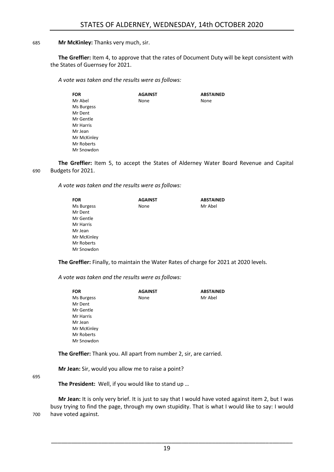#### 685 **Mr McKinley:** Thanks very much, sir.

**The Greffier:** Item 4, to approve that the rates of Document Duty will be kept consistent with the States of Guernsey for 2021.

*A vote was taken and the results were as follows:*

| FOR         | <b>AGAINST</b> | <b>ABSTAINED</b> |
|-------------|----------------|------------------|
| Mr Abel     | None           | None             |
| Ms Burgess  |                |                  |
| Mr Dent     |                |                  |
| Mr Gentle   |                |                  |
| Mr Harris   |                |                  |
| Mr Jean     |                |                  |
| Mr McKinley |                |                  |
| Mr Roberts  |                |                  |
| Mr Snowdon  |                |                  |
|             |                |                  |

**The Greffier:** Item 5, to accept the States of Alderney Water Board Revenue and Capital 690 Budgets for 2021.

*A vote was taken and the results were as follows:*

| FOR         | <b>AGAINST</b> | <b>ABSTAINED</b> |
|-------------|----------------|------------------|
| Ms Burgess  | None           | Mr Abel          |
| Mr Dent     |                |                  |
| Mr Gentle   |                |                  |
| Mr Harris   |                |                  |
| Mr Jean     |                |                  |
| Mr McKinley |                |                  |
| Mr Roberts  |                |                  |
| Mr Snowdon  |                |                  |
|             |                |                  |

**The Greffier:** Finally, to maintain the Water Rates of charge for 2021 at 2020 levels.

*A vote was taken and the results were as follows:*

| <b>FOR</b>  | <b>AGAINST</b> | <b>ABSTAINED</b> |
|-------------|----------------|------------------|
| Ms Burgess  | None           | Mr Abel          |
| Mr Dent     |                |                  |
| Mr Gentle   |                |                  |
| Mr Harris   |                |                  |
| Mr Jean     |                |                  |
| Mr McKinley |                |                  |
| Mr Roberts  |                |                  |
| Mr Snowdon  |                |                  |

**The Greffier:** Thank you. All apart from number 2, sir, are carried.

**Mr Jean:** Sir, would you allow me to raise a point?

695

**The President:** Well, if you would like to stand up …

**Mr Jean:** It is only very brief. It is just to say that I would have voted against item 2, but I was busy trying to find the page, through my own stupidity. That is what I would like to say: I would 700 have voted against.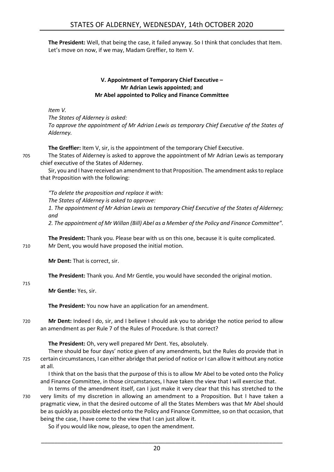**The President:** Well, that being the case, it failed anyway. So I think that concludes that Item. Let's move on now, if we may, Madam Greffier, to Item V.

#### **V. Appointment of Temporary Chief Executive – Mr Adrian Lewis appointed; and Mr Abel appointed to Policy and Finance Committee**

<span id="page-19-0"></span>*Item V.*

*The States of Alderney is asked: To approve the appointment of Mr Adrian Lewis as temporary Chief Executive of the States of Alderney.*

**The Greffier:** Item V, sir, is the appointment of the temporary Chief Executive.

705 The States of Alderney is asked to approve the appointment of Mr Adrian Lewis as temporary chief executive of the States of Alderney.

Sir, you and I have received an amendment to that Proposition. The amendment asks to replace that Proposition with the following:

*"To delete the proposition and replace it with: The States of Alderney is asked to approve: 1. The appointment of Mr Adrian Lewis as temporary Chief Executive of the States of Alderney; and*

*2. The appointment of Mr Willan (Bill) Abel as a Member of the Policy and Finance Committee".*

**The President:** Thank you. Please bear with us on this one, because it is quite complicated. 710 Mr Dent, you would have proposed the initial motion.

**Mr Dent:** That is correct, sir.

**The President:** Thank you. And Mr Gentle, you would have seconded the original motion.

**Mr Gentle:** Yes, sir.

715

**The President:** You now have an application for an amendment.

720 **Mr Dent:** Indeed I do, sir, and I believe I should ask you to abridge the notice period to allow an amendment as per Rule 7 of the Rules of Procedure. Is that correct?

**The President:** Oh, very well prepared Mr Dent. Yes, absolutely.

There should be four days' notice given of any amendments, but the Rules do provide that in 725 certain circumstances, I can either abridge that period of notice or I can allow it without any notice at all.

I think that on the basis that the purpose of this is to allow Mr Abel to be voted onto the Policy and Finance Committee, in those circumstances, I have taken the view that I will exercise that.

In terms of the amendment itself, can I just make it very clear that this has stretched to the 730 very limits of my discretion in allowing an amendment to a Proposition. But I have taken a pragmatic view, in that the desired outcome of all the States Members was that Mr Abel should be as quickly as possible elected onto the Policy and Finance Committee, so on that occasion, that being the case, I have come to the view that I can just allow it.

So if you would like now, please, to open the amendment.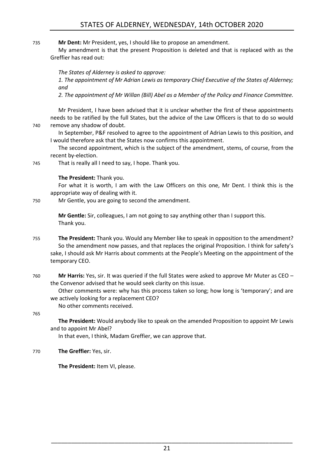735 **Mr Dent:** Mr President, yes, I should like to propose an amendment.

My amendment is that the present Proposition is deleted and that is replaced with as the Greffier has read out:

*The States of Alderney is asked to approve:*

*1. The appointment of Mr Adrian Lewis as temporary Chief Executive of the States of Alderney; and*

*2. The appointment of Mr Willan (Bill) Abel as a Member of the Policy and Finance Committee.*

Mr President, I have been advised that it is unclear whether the first of these appointments needs to be ratified by the full States, but the advice of the Law Officers is that to do so would 740 remove any shadow of doubt.

In September, P&F resolved to agree to the appointment of Adrian Lewis to this position, and I would therefore ask that the States now confirms this appointment.

The second appointment, which is the subject of the amendment, stems, of course, from the recent by-election.

745 That is really all I need to say, I hope. Thank you.

#### **The President:** Thank you.

For what it is worth, I am with the Law Officers on this one, Mr Dent. I think this is the appropriate way of dealing with it.

750 Mr Gentle, you are going to second the amendment.

**Mr Gentle:** Sir, colleagues, I am not going to say anything other than I support this. Thank you.

- 755 **The President:** Thank you. Would any Member like to speak in opposition to the amendment? So the amendment now passes, and that replaces the original Proposition. I think for safety's sake, I should ask Mr Harris about comments at the People's Meeting on the appointment of the temporary CEO.
- 760 **Mr Harris:** Yes, sir. It was queried if the full States were asked to approve Mr Muter as CEO the Convenor advised that he would seek clarity on this issue.

Other comments were: why has this process taken so long; how long is 'temporary'; and are we actively looking for a replacement CEO?

No other comments received.

765

**The President:** Would anybody like to speak on the amended Proposition to appoint Mr Lewis and to appoint Mr Abel?

In that even, I think, Madam Greffier, we can approve that.

770 **The Greffier:** Yes, sir.

**The President:** Item VI, please.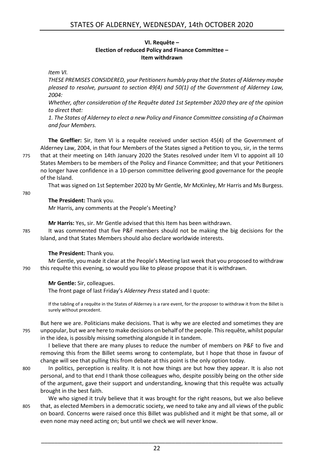#### **VI. Requête – Election of reduced Policy and Finance Committee – Item withdrawn**

<span id="page-21-0"></span>*Item VI.*

*THESE PREMISES CONSIDERED, your Petitioners humbly pray that the States of Alderney maybe pleased to resolve, pursuant to section 49(4) and 50(1) of the Government of Alderney Law, 2004:*

*Whether, after consideration of the Requête dated 1st September 2020 they are of the opinion to direct that:*

*1. The States of Alderney to elect a new Policy and Finance Committee consisting of a Chairman and four Members.*

**The Greffier:** Sir, Item VI is a requête received under section 45(4) of the Government of Alderney Law, 2004, in that four Members of the States signed a Petition to you, sir, in the terms 775 that at their meeting on 14th January 2020 the States resolved under Item VI to appoint all 10 States Members to be members of the Policy and Finance Committee; and that your Petitioners no longer have confidence in a 10-person committee delivering good governance for the people of the Island.

That was signed on 1st September 2020 by Mr Gentle, Mr McKinley, Mr Harris and Ms Burgess.

780

#### **The President:** Thank you.

Mr Harris, any comments at the People's Meeting?

**Mr Harris:** Yes, sir. Mr Gentle advised that this Item has been withdrawn.

785 It was commented that five P&F members should not be making the big decisions for the Island, and that States Members should also declare worldwide interests.

#### **The President:** Thank you.

Mr Gentle, you made it clear at the People's Meeting last week that you proposed to withdraw 790 this requête this evening, so would you like to please propose that it is withdrawn.

#### **Mr Gentle:** Sir, colleagues.

The front page of last Friday's *Alderney Press* stated and I quote:

If the tabling of a requête in the States of Alderney is a rare event, for the proposer to withdraw it from the Billet is surely without precedent.

But here we are. Politicians make decisions. That is why we are elected and sometimes they are 795 unpopular, but we are here to make decisions on behalf of the people. This requête, whilst popular in the idea, is possibly missing something alongside it in tandem.

I believe that there are many pluses to reduce the number of members on P&F to five and removing this from the Billet seems wrong to contemplate, but I hope that those in favour of change will see that pulling this from debate at this point is the only option today.

800 In politics, perception is reality. It is not how things are but how they appear. It is also not personal, and to that end I thank those colleagues who, despite possibly being on the other side of the argument, gave their support and understanding, knowing that this requête was actually brought in the best faith.

We who signed it truly believe that it was brought for the right reasons, but we also believe 805 that, as elected Members in a democratic society, we need to take any and all views of the public on board. Concerns were raised once this Billet was published and it might be that some, all or even none may need acting on; but until we check we will never know.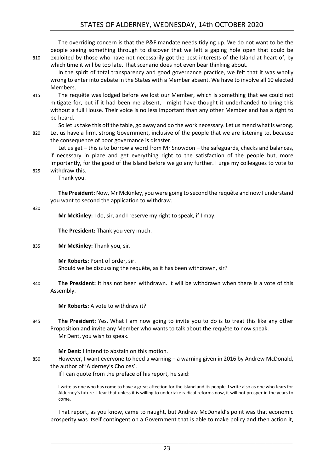#### STATES OF ALDERNEY, WEDNESDAY, 14th OCTOBER 2020

| 810 | The overriding concern is that the P&F mandate needs tidying up. We do not want to be the<br>people seeing something through to discover that we left a gaping hole open that could be<br>exploited by those who have not necessarily got the best interests of the Island at heart of, by<br>which time it will be too late. That scenario does not even bear thinking about.<br>In the spirit of total transparency and good governance practice, we felt that it was wholly<br>wrong to enter into debate in the States with a Member absent. We have to involve all 10 elected<br>Members. |
|-----|------------------------------------------------------------------------------------------------------------------------------------------------------------------------------------------------------------------------------------------------------------------------------------------------------------------------------------------------------------------------------------------------------------------------------------------------------------------------------------------------------------------------------------------------------------------------------------------------|
| 815 | The requête was lodged before we lost our Member, which is something that we could not<br>mitigate for, but if it had been me absent, I might have thought it underhanded to bring this<br>without a full House. Their voice is no less important than any other Member and has a right to<br>be heard.                                                                                                                                                                                                                                                                                        |
| 820 | So let us take this off the table, go away and do the work necessary. Let us mend what is wrong.<br>Let us have a firm, strong Government, inclusive of the people that we are listening to, because<br>the consequence of poor governance is disaster.                                                                                                                                                                                                                                                                                                                                        |
| 825 | Let us get - this is to borrow a word from Mr Snowdon - the safeguards, checks and balances,<br>if necessary in place and get everything right to the satisfaction of the people but, more<br>importantly, for the good of the Island before we go any further. I urge my colleagues to vote to<br>withdraw this.<br>Thank you.                                                                                                                                                                                                                                                                |
|     | The President: Now, Mr McKinley, you were going to second the requête and now I understand<br>you want to second the application to withdraw.                                                                                                                                                                                                                                                                                                                                                                                                                                                  |
| 830 | Mr McKinley: I do, sir, and I reserve my right to speak, if I may.                                                                                                                                                                                                                                                                                                                                                                                                                                                                                                                             |
|     | The President: Thank you very much.                                                                                                                                                                                                                                                                                                                                                                                                                                                                                                                                                            |
| 835 | Mr McKinley: Thank you, sir.                                                                                                                                                                                                                                                                                                                                                                                                                                                                                                                                                                   |
|     | Mr Roberts: Point of order, sir.<br>Should we be discussing the requête, as it has been withdrawn, sir?                                                                                                                                                                                                                                                                                                                                                                                                                                                                                        |
| 840 | The President: It has not been withdrawn. It will be withdrawn when there is a vote of this<br>Assembly.                                                                                                                                                                                                                                                                                                                                                                                                                                                                                       |

**Mr Roberts:** A vote to withdraw it?

845 **The President:** Yes. What I am now going to invite you to do is to treat this like any other Proposition and invite any Member who wants to talk about the requête to now speak. Mr Dent, you wish to speak.

**Mr Dent:** I intend to abstain on this motion.

850 However, I want everyone to heed a warning – a warning given in 2016 by Andrew McDonald, the author of 'Alderney's Choices'.

If I can quote from the preface of his report, he said:

I write as one who has come to have a great affection for the island and its people. I write also as one who fears for Alderney's future. I fear that unless it is willing to undertake radical reforms now, it will not prosper in the years to come.

That report, as you know, came to naught, but Andrew McDonald's point was that economic prosperity was itself contingent on a Government that is able to make policy and then action it,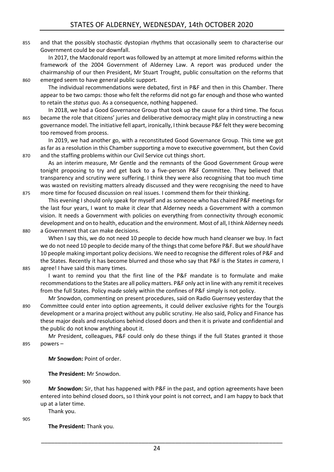855 and that the possibly stochastic dystopian rhythms that occasionally seem to characterise our Government could be our downfall.

In 2017, the Macdonald report was followed by an attempt at more limited reforms within the framework of the 2004 Government of Alderney Law. A report was produced under the chairmanship of our then President, Mr Stuart Trought, public consultation on the reforms that 860 emerged seem to have general public support.

The individual recommendations were debated, first in P&F and then in this Chamber. There appear to be two camps: those who felt the reforms did not go far enough and those who wanted to retain the *status quo.* As a consequence, nothing happened.

In 2018, we had a Good Governance Group that took up the cause for a third time. The focus 865 became the role that citizens' juries and deliberative democracy might play in constructing a new governance model. The initiative fell apart, ironically, I think because P&F felt they were becoming too removed from process.

In 2019, we had another go, with a reconstituted Good Governance Group. This time we got as far as a resolution in this Chamber supporting a move to executive government, but then Covid 870 and the staffing problems within our Civil Service cut things short.

As an interim measure, Mr Gentle and the remnants of the Good Government Group were tonight proposing to try and get back to a five-person P&F Committee. They believed that transparency and scrutiny were suffering. I think they were also recognising that too much time was wasted on revisiting matters already discussed and they were recognising the need to have 875 more time for focused discussion on real issues. I commend them for their thinking.

This evening I should only speak for myself and as someone who has chaired P&F meetings for the last four years, I want to make it clear that Alderney needs a Government with a common vision. It needs a Government with policies on everything from connectivity through economic development and on to health, education and the environment. Most of all, I think Alderney needs 880 a Government that can make decisions.

When I say this, we do not need 10 people to decide how much hand cleanser we buy. In fact we do not need 10 people to decide many of the things that come before P&F. But we *should* have 10 people making important policy decisions. We need to recognise the different roles of P&F and the States. Recently it has become blurred and those who say that P&F is the States *in camera*, I 885 agree! I have said this many times.

I want to remind you that the first line of the P&F mandate is to formulate and make recommendations to the States are all policy matters. P&F only act in line with any remit it receives from the full States. Policy made solely within the confines of P&F simply is not policy.

Mr Snowdon, commenting on present procedures, said on Radio Guernsey yesterday that the 890 Committee could enter into option agreements, it could deliver exclusive rights for the Tourgis development or a marina project without any public scrutiny. He also said, Policy and Finance has these major deals and resolutions behind closed doors and then it is private and confidential and the public do not know anything about it.

Mr President, colleagues, P&F could only do these things if the full States granted it those 895 powers –

**Mr Snowdon:** Point of order.

**The President:** Mr Snowdon.

900

**Mr Snowdon:** Sir, that has happened with P&F in the past, and option agreements have been entered into behind closed doors, so I think your point is not correct, and I am happy to back that up at a later time. Thank you.

 $905$ 

**The President:** Thank you.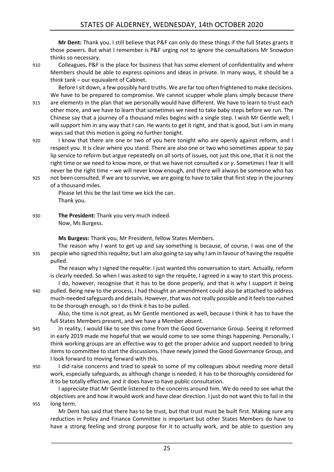**Mr Dent:** Thank you. I still believe that P&F can only do these things if the full States grants it those powers. But what I remember is P&F urging *not* to ignore the consultations Mr Snowdon thinks so necessary.

910 Colleagues, P&F is the place for business that has some element of confidentiality and where Members should be able to express opinions and ideas in private. In many ways, it should be a think tank – our equivalent of Cabinet.

Before I sit down, a few possibly hard truths. We are far too often frightened to make decisions. We have to be prepared to compromise. We cannot scupper whole plans simply because there 915 are elements in the plan that we personally would have different. We have to learn to trust each other more, and we have to learn that sometimes we need to take baby steps before we run. The Chinese say that a journey of a thousand miles begins with a single step. I wish Mr Gentle well; I will support him in any way that I can. He wants to get it right, and that is good, but I am in many ways sad that this motion is going no further tonight.

- 920 I know that there are one or two of you here tonight who are openly against reform, and I respect you. It is clear where you stand. There are also one or two who sometimes appear to pay lip service to reform but argue repeatedly on all sorts of issues, not just this one, that it is not the right time or we need to know more, or that we have not consulted *x* or *y*. Sometimes I fear it will never be the right time – we will never know enough, and there will always be someone who has
- 925 not been consulted. If we are to survive, we are going to have to take that first step in the journey of a thousand miles.

Please let this be the last time we kick the can. Thank you.

930 **The President:** Thank you very much indeed. Now, Ms Burgess.

**Ms Burgess:** Thank you, Mr President, fellow States Members.

The reason why I want to get up and say something is because, of course, I was one of the 935 people who signed this requête; but I am also going to say why I am in favour of having the requête pulled.

The reason why I signed the requête: I just wanted this conversation to start. Actually, reform is clearly needed. So when I was asked to sign the requête, I agreed in a way to start this process.

I do, however, recognise that it has to be done properly, and that is why I support it being 940 pulled. Being new to the process, I had thought an amendment could also be attached to address much-needed safeguards and details. However, that was not really possible and it feels too rushed to be thorough enough, so I do think it has to be pulled.

Also, the time is not great, as Mr Gentle mentioned as well, because I think it has to have the full States Members present, and we have a Member absent.

945 In reality, I would like to see this come from the Good Governance Group. Seeing it reformed in early 2019 made me hopeful that we would come to see some things happening. Personally, I think working groups are an effective way to get the proper advice and support needed to bring items to committee to start the discussions. I have newly joined the Good Governance Group, and I look forward to moving forward with this.

950 I did raise concerns and tried to speak to some of my colleagues about needing more detail work, especially safeguards, as although change is needed, it has to be thoroughly considered for it to be totally effective, and it does have to have public consultation.

I appreciate that Mr Gentle listened to the concerns around him. We do need to see what the objectives are and how it would work and have clear direction. I just do not want this to fail in the 955 long term.

Mr Dent has said that there has to be trust, but that trust must be built first. Making sure any reduction in Policy and Finance Committee is important but other States Members do have to have a strong feeling and strong purpose for it to actually work, and be able to question any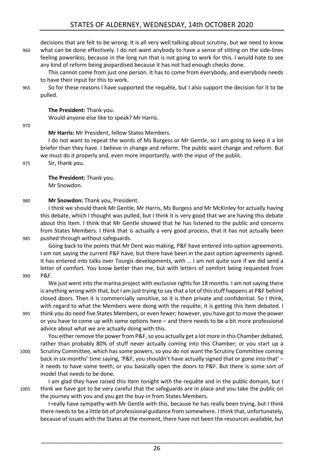decisions that are felt to be wrong. It is all very well talking about scrutiny, but we need to know 960 what can be done effectively. I do not want anybody to have a sense of sitting on the side-lines feeling powerless, because in the long run that is not going to work for this. I would hate to see any kind of reform being jeopardised because it has not had enough checks done.

This cannot come from just one person. It has to come from everybody, and everybody needs to have their input for this to work.

965 So for these reasons I have supported the requête, but I also support the decision for it to be pulled.

**The President:** Thank you.

Would anyone else like to speak? Mr Harris.

970

**Mr Harris:** Mr President, fellow States Members.

I do not want to repeat the words of Ms Burgess or Mr Gentle, so I am going to keep it a lot briefer than they have. I believe in change and reform. The public want change and reform. But we must do it properly and, even more importantly, with the input of the public. 975 Sir, thank you.

**The President:** Thank you. Mr Snowdon.

#### 980 **Mr Snowdon:** Thank you, President.

I think we should thank Mr Gentle, Mr Harris, Ms Burgess and Mr McKinley for actually having this debate, which I thought was pulled, but I think it is very good that we are having this debate about this Item. I think that Mr Gentle showed that he has listened to the public and concerns from States Members. I think that is actually a very good process, that it has not actually been 985 pushed through without safeguards.

Going back to the points that Mr Dent was making, P&F have entered into option agreements. I am not saying the current P&F have, but there have been in the past option agreements signed. It has entered into talks over Tourgis developments, with … I am not quite sure if we did send a letter of comfort. You know better than me, but with letters of comfort being requested from 990 P&F.

We just went into the marina project with exclusive rights for 18 months. I am not saying there is anything wrong with that, but I am just trying to say that a lot of this stuff happens at P&F behind closed doors. Then it is commercially sensitive, so it is then private and confidential. So I think, with regard to what the Members were doing with the requête, it is getting this item debated. I 995 think you do need five States Members, or even fewer; however, you have got to move the power or you have to come up with some options here – and there needs to be a bit more professional advice about what we are actually doing with this.

You either remove the power from P&F, so you actually get a lot more in this Chamber debated, rather than probably 80% of stuff never actually coming into this Chamber; or you start up a 1000 Scrutiny Committee, which has some powers, so you do not want the Scrutiny Committee coming back in six months' time saying, 'P&F, you shouldn't have actually signed that or gone into that' – it needs to have some teeth; or you basically open the doors to P&F. But there is some sort of model that needs to be done.

I am glad they have raised this Item tonight with the requête and in the public domain, but I 1005 think we have got to be very careful that the safeguards are in place and you take the public on the journey with you and you get the buy-in from States Members.

I really have sympathy with Mr Gentle with this, because he has really been trying, but I think there needs to be a little bit of professional guidance from somewhere. I think that, unfortunately, because of issues with the States at the moment, there have not been the resources available, but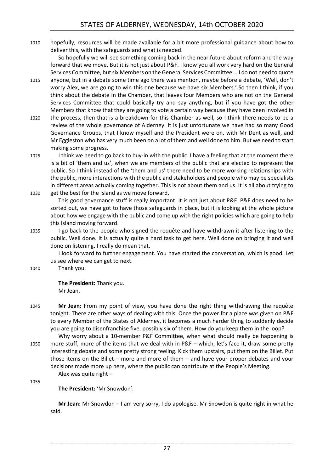1010 hopefully, resources will be made available for a bit more professional guidance about how to deliver this, with the safeguards and what is needed.

So hopefully we will see something coming back in the near future about reform and the way forward that we move. But it is not just about P&F. I know you all work very hard on the General Services Committee, but six Members on the General Services Committee … I do not need to quote

- 1015 anyone, but in a debate some time ago there was mention, maybe before a debate, 'Well, don't worry Alex, we are going to win this one because we have six Members.' So then I think, if you think about the debate in the Chamber, that leaves four Members who are not on the General Services Committee that could basically try and say anything, but if you have got the other Members that know that they are going to vote a certain way because they have been involved in
- 1020 the process, then that is a breakdown for this Chamber as well, so I think there needs to be a review of the whole governance of Alderney. It is just unfortunate we have had so many Good Governance Groups, that I know myself and the President were on, with Mr Dent as well, and Mr Eggleston who has very much been on a lot of them and well done to him. But we need to start making some progress.
- 1025 I think we need to go back to buy-in with the public. I have a feeling that at the moment there is a bit of 'them and us', when we are members of the public that are elected to represent the public. So I think instead of the 'them and us' there need to be more working relationships with the public, more interactions with the public and stakeholders and people who may be specialists in different areas actually coming together. This is not about them and us. It is all about trying to 1030 get the best for the Island as we move forward.

This good governance stuff is really important. It is not just about P&F. P&F does need to be sorted out, we have got to have those safeguards in place, but it is looking at the whole picture about how we engage with the public and come up with the right policies which are going to help this Island moving forward.

1035 I go back to the people who signed the requête and have withdrawn it after listening to the public. Well done. It is actually quite a hard task to get here. Well done on bringing it and well done on listening. I really do mean that.

I look forward to further engagement. You have started the conversation, which is good. Let us see where we can get to next.

1040 Thank you.

**The President:** Thank you. Mr Jean.

- 1045 **Mr Jean:** From my point of view, you have done the right thing withdrawing the requête tonight. There are other ways of dealing with this. Once the power for a place was given on P&F to every Member of the States of Alderney, it becomes a much harder thing to suddenly decide you are going to disenfranchise five, possibly six of them. How do you keep them in the loop?
- Why worry about a 10-member P&F Committee, when what should really be happening is 1050 more stuff, more of the items that we deal with in P&F – which, let's face it, draw some pretty interesting debate and some pretty strong feeling. Kick them upstairs, put them on the Billet. Put those items on the Billet – more and more of them – and have your proper debates and your decisions made more up here, where the public can contribute at the People's Meeting. Alex was quite right –

1055

**The President:** 'Mr Snowdon'.

**Mr Jean:** Mr Snowdon – I am very sorry, I do apologise. Mr Snowdon is quite right in what he said.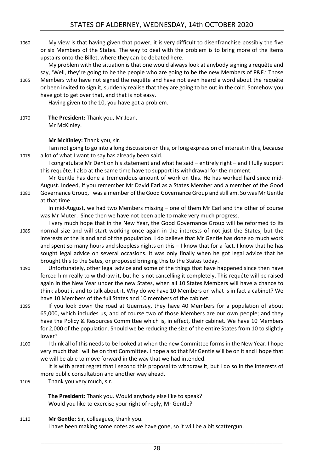1060 My view is that having given that power, it is very difficult to disenfranchise possibly the five or six Members of the States. The way to deal with the problem is to bring more of the items upstairs onto the Billet, where they can be debated here.

My problem with the situation is that one would always look at anybody signing a requête and say, 'Well, they're going to be the people who are going to be the new Members of P&F.' Those 1065 Members who have not signed the requête and have not even heard a word about the requête or been invited to sign it, suddenly realise that they are going to be out in the cold. Somehow you have got to get over that, and that is not easy.

Having given to the 10, you have got a problem.

1070 **The President:** Thank you, Mr Jean. Mr McKinley.

**Mr McKinley:** Thank you, sir.

I am not going to go into a long discussion on this, or long expression of interest in this, because 1075 a lot of what I want to say has already been said.

I congratulate Mr Dent on his statement and what he said – entirely right – and I fully support this requête. I also at the same time have to support its withdrawal for the moment.

Mr Gentle has done a tremendous amount of work on this. He has worked hard since mid-August. Indeed, if you remember Mr David Earl as a States Member and a member of the Good 1080 Governance Group, I was a member of the Good Governance Group and still am. So was Mr Gentle at that time.

In mid-August, we had two Members missing – one of them Mr Earl and the other of course was Mr Muter. Since then we have not been able to make very much progress.

- I very much hope that in the New Year, the Good Governance Group will be reformed to its 1085 normal size and will start working once again in the interests of not just the States, but the interests of the Island and of the population. I do believe that Mr Gentle has done so much work and spent so many hours and sleepless nights on this – I know that for a fact. I know that he has sought legal advice on several occasions. It was only finally when he got legal advice that he brought this to the Sates, or proposed bringing this to the States today.
- 1090 Unfortunately, other legal advice and some of the things that have happened since then have forced him really to withdraw it, but he is not cancelling it completely. This requête will be raised again in the New Year under the new States, when all 10 States Members will have a chance to think about it and to talk about it. Why do we have 10 Members on what is in fact a cabinet? We have 10 Members of the full States and 10 members of the cabinet.
- 1095 If you look down the road at Guernsey, they have 40 Members for a population of about 65,000, which includes us, and of course two of those Members are our own people; and they have the Policy & Resources Committee which is, in effect, their cabinet. We have 10 Members for 2,000 of the population. Should we be reducing the size of the entire States from 10 to slightly lower?
- 1100 I think all of this needs to be looked at when the new Committee forms in the New Year. I hope very much that I will be on that Committee. I hope also that Mr Gentle will be on it and I hope that we will be able to move forward in the way that we had intended.

It is with great regret that I second this proposal to withdraw it, but I do so in the interests of more public consultation and another way ahead.

1105 Thank you very much, sir.

**The President:** Thank you. Would anybody else like to speak? Would you like to exercise your right of reply, Mr Gentle?

1110 **Mr Gentle:** Sir, colleagues, thank you. I have been making some notes as we have gone, so it will be a bit scattergun.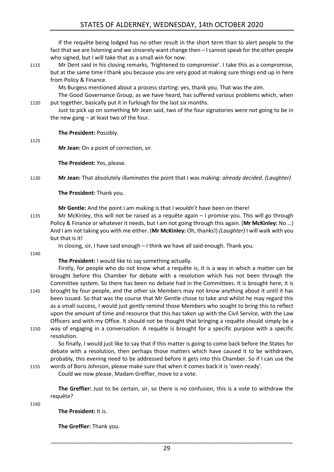If the requête being lodged has no other result in the short term than to alert people to the fact that we are listening and we sincerely want change then – I cannot speak for the other people who signed, but I will take that as a small win for now.

1115 Mr Dent said in his closing remarks, 'frightened to compromise'. I take this as a compromise, but at the same time I thank you because you are very good at making sure things end up in here from Policy & Finance.

Ms Burgess mentioned about a process starting: yes, thank you. That was the aim.

The Good Governance Group, as we have heard, has suffered various problems which, when 1120 put together, basically put it in furlough for the last six months.

Just to pick up on something Mr Jean said, two of the four signatories were not going to be in the new gang – at least two of the four.

**The President:** Possibly.

1125

**Mr Jean:** On a point of correction, sir.

**The President:** Yes, please.

1130 **Mr Jean:** That absolutely *illuminates* the point that I was making: *already decided*. *(Laughter)*

**The President:** Thank you.

**Mr Gentle:** And the point I am making is that I *wouldn't* have been on there!

1135 Mr McKinley, this will not be raised as a requête again – I promise you. This will go through Policy & Finance or whatever it needs, but I am not going through this again. (**Mr McKinley:** No …) And I am not taking you with me either. (**Mr McKinley:** Oh, thanks!) *(Laughter)* I will walk with you but that is it!

In closing, sir, I have said enough – I think we have all said enough. Thank you.

1140

#### **The President:** I would like to say something actually.

Firstly, for people who do not know what a requête is, it is a way in which a matter can be brought before this Chamber for debate with a resolution which has not been through the Committee system. So there has been no debate had in the Committees. It is brought here; it is 1145 brought by four people, and the other six Members may not know anything about it until it has

been issued. So that was the course that Mr Gentle chose to take and whilst he may regard this as a small success, I would just gently remind those Members who sought to bring this to reflect upon the amount of time and resource that this has taken up with the Civil Service, with the Law Officers and with my Office. It should not be thought that bringing a requête should simply be a 1150 way of engaging in a conversation. A requête is brought for a specific purpose with a specific

resolution.

So finally, I would just like to say that if this matter is going to come back before the States for debate with a resolution, then perhaps those matters which have caused it to be withdrawn, probably, this evening need to be addressed before it gets into this Chamber. So if I can use the 1155 words of Boris Johnson, please make sure that when it comes back it is 'oven-ready'.

Could we now please, Madam Greffier, move to a vote.

**The Greffier:** Just to be certain, sir, so there is no confusion, this is a vote to withdraw the requête?

1160

**The President:** It is.

**The Greffier:** Thank you.